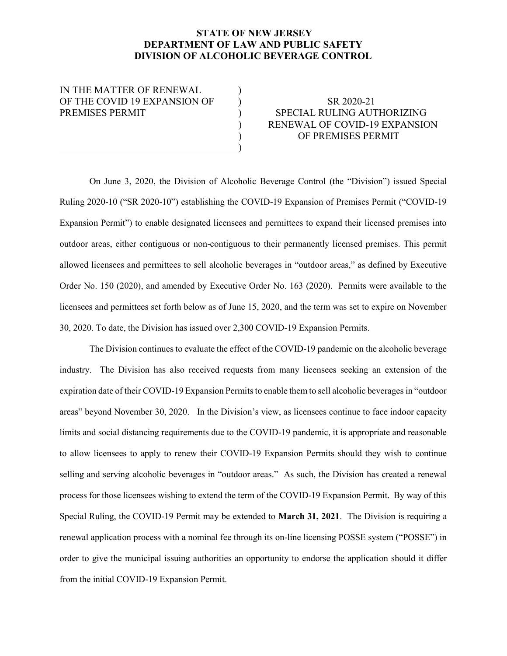## STATE OF NEW JERSEY DEPARTMENT OF LAW AND PUBLIC SAFETY DIVISION OF ALCOHOLIC BEVERAGE CONTROL

IN THE MATTER OF RENEWAL OF THE COVID 19 EXPANSION OF  $\qquad$  SR 2020-21

 $\qquad \qquad \qquad \qquad$ 

## PREMISES PERMIT  $\begin{array}{ccc} & & \\ & & \end{array} \qquad \qquad \text{SPECIAL RULING AUTHORIZING}$  ) RENEWAL OF COVID-19 EXPANSION ) OF PREMISES PERMIT

On June 3, 2020, the Division of Alcoholic Beverage Control (the "Division") issued Special Ruling 2020-10 ("SR 2020-10") establishing the COVID-19 Expansion of Premises Permit ("COVID-19 Expansion Permit") to enable designated licensees and permittees to expand their licensed premises into outdoor areas, either contiguous or non-contiguous to their permanently licensed premises. This permit allowed licensees and permittees to sell alcoholic beverages in "outdoor areas," as defined by Executive Order No. 150 (2020), and amended by Executive Order No. 163 (2020). Permits were available to the licensees and permittees set forth below as of June 15, 2020, and the term was set to expire on November 30, 2020. To date, the Division has issued over 2,300 COVID-19 Expansion Permits.

The Division continues to evaluate the effect of the COVID-19 pandemic on the alcoholic beverage industry. The Division has also received requests from many licensees seeking an extension of the expiration date of their COVID-19 Expansion Permits to enable them to sell alcoholic beverages in "outdoor areas" beyond November 30, 2020. In the Division's view, as licensees continue to face indoor capacity limits and social distancing requirements due to the COVID-19 pandemic, it is appropriate and reasonable to allow licensees to apply to renew their COVID-19 Expansion Permits should they wish to continue selling and serving alcoholic beverages in "outdoor areas." As such, the Division has created a renewal process for those licensees wishing to extend the term of the COVID-19 Expansion Permit. By way of this Special Ruling, the COVID-19 Permit may be extended to March 31, 2021. The Division is requiring a renewal application process with a nominal fee through its on-line licensing POSSE system ("POSSE") in order to give the municipal issuing authorities an opportunity to endorse the application should it differ from the initial COVID-19 Expansion Permit.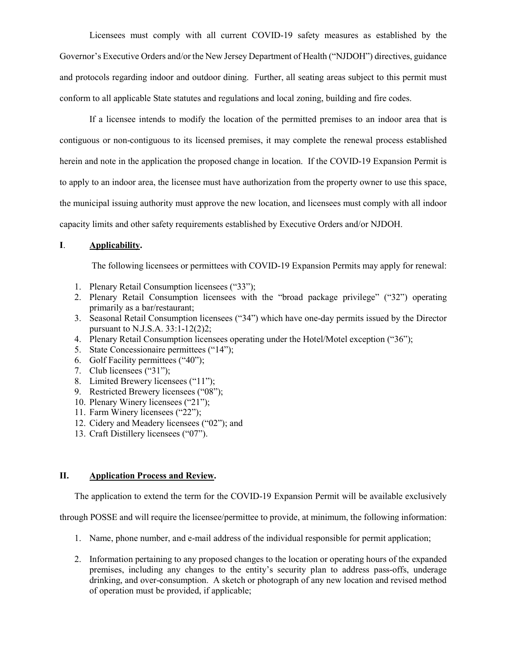Licensees must comply with all current COVID-19 safety measures as established by the Governor's Executive Orders and/or the New Jersey Department of Health ("NJDOH") directives, guidance and protocols regarding indoor and outdoor dining. Further, all seating areas subject to this permit must conform to all applicable State statutes and regulations and local zoning, building and fire codes.

If a licensee intends to modify the location of the permitted premises to an indoor area that is contiguous or non-contiguous to its licensed premises, it may complete the renewal process established herein and note in the application the proposed change in location. If the COVID-19 Expansion Permit is to apply to an indoor area, the licensee must have authorization from the property owner to use this space, the municipal issuing authority must approve the new location, and licensees must comply with all indoor capacity limits and other safety requirements established by Executive Orders and/or NJDOH.

## I. Applicability.

The following licensees or permittees with COVID-19 Expansion Permits may apply for renewal:

- 1. Plenary Retail Consumption licensees ("33");
- 2. Plenary Retail Consumption licensees with the "broad package privilege" ("32") operating primarily as a bar/restaurant;
- 3. Seasonal Retail Consumption licensees ("34") which have one-day permits issued by the Director pursuant to N.J.S.A. 33:1-12(2)2;
- 4. Plenary Retail Consumption licensees operating under the Hotel/Motel exception ("36");
- 5. State Concessionaire permittees ("14");
- 6. Golf Facility permittees ("40");
- 7. Club licensees ("31");
- 8. Limited Brewery licensees ("11");
- 9. Restricted Brewery licensees ("08");
- 10. Plenary Winery licensees ("21");
- 11. Farm Winery licensees ("22");
- 12. Cidery and Meadery licensees ("02"); and
- 13. Craft Distillery licensees ("07").

## II. Application Process and Review.

The application to extend the term for the COVID-19 Expansion Permit will be available exclusively

through POSSE and will require the licensee/permittee to provide, at minimum, the following information:

- 1. Name, phone number, and e-mail address of the individual responsible for permit application;
- 2. Information pertaining to any proposed changes to the location or operating hours of the expanded premises, including any changes to the entity's security plan to address pass-offs, underage drinking, and over-consumption. A sketch or photograph of any new location and revised method of operation must be provided, if applicable;